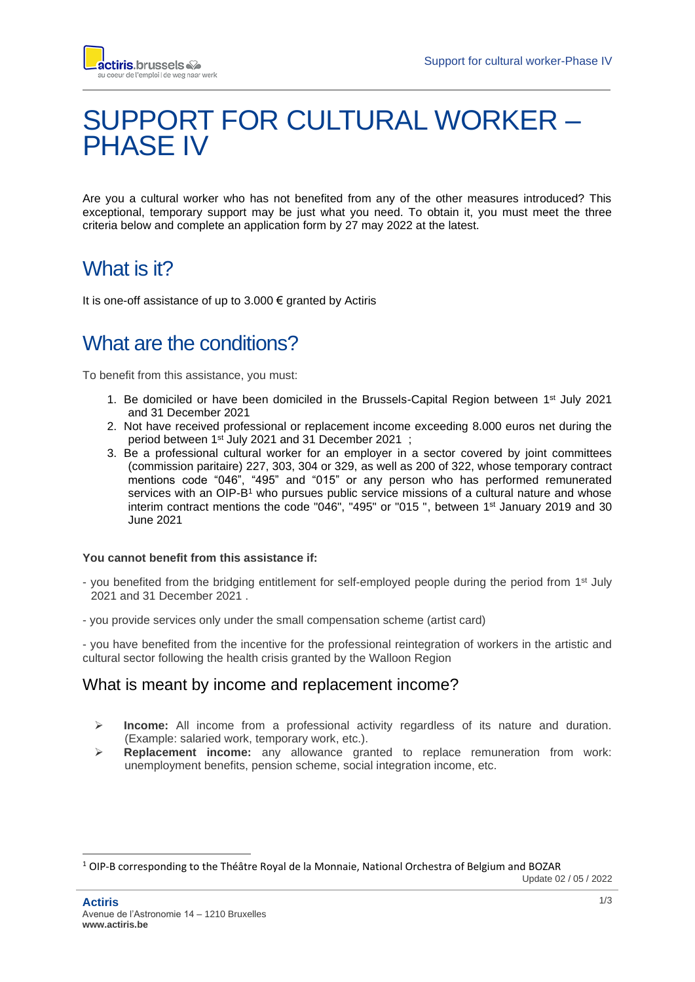

# SUPPORT FOR CULTURAL WORKER – PHASE IV

Are you a cultural worker who has not benefited from any of the other measures introduced? This exceptional, temporary support may be just what you need. To obtain it, you must meet the three criteria below and complete an application form by 27 may 2022 at the latest.

### What is it?

It is one-off assistance of up to  $3.000 \in \text{granted}$  by Actiris

## What are the conditions?

To benefit from this assistance, you must:

- 1. Be domiciled or have been domiciled in the Brussels-Capital Region between 1<sup>st</sup> July 2021 and 31 December 2021
- 2. Not have received professional or replacement income exceeding 8.000 euros net during the period between 1 st July 2021 and 31 December 2021 ;
- 3. Be a professional cultural worker for an employer in a sector covered by joint committees (commission paritaire) 227, 303, 304 or 329, as well as 200 of 322, whose temporary contract mentions code "046", "495" and "015" or any person who has performed remunerated services with an OIP-B<sup>1</sup> who pursues public service missions of a cultural nature and whose interim contract mentions the code "046", "495" or "015", between 1<sup>st</sup> January 2019 and 30 June 2021

#### **You cannot benefit from this assistance if:**

- you benefited from the bridging entitlement for self-employed people during the period from 1<sup>st</sup> July 2021 and 31 December 2021 .
- you provide services only under the small compensation scheme (artist card)

- you have benefited from the incentive for the professional reintegration of workers in the artistic and cultural sector following the health crisis granted by the Walloon Region

#### What is meant by income and replacement income?

- ➢ **Income:** All income from a professional activity regardless of its nature and duration. (Example: salaried work, temporary work, etc.).
- ➢ **Replacement income:** any allowance granted to replace remuneration from work: unemployment benefits, pension scheme, social integration income, etc.

Update 02 / 05 / 2022

<sup>1</sup> OIP-B corresponding to the Théâtre Royal de la Monnaie, National Orchestra of Belgium and BOZAR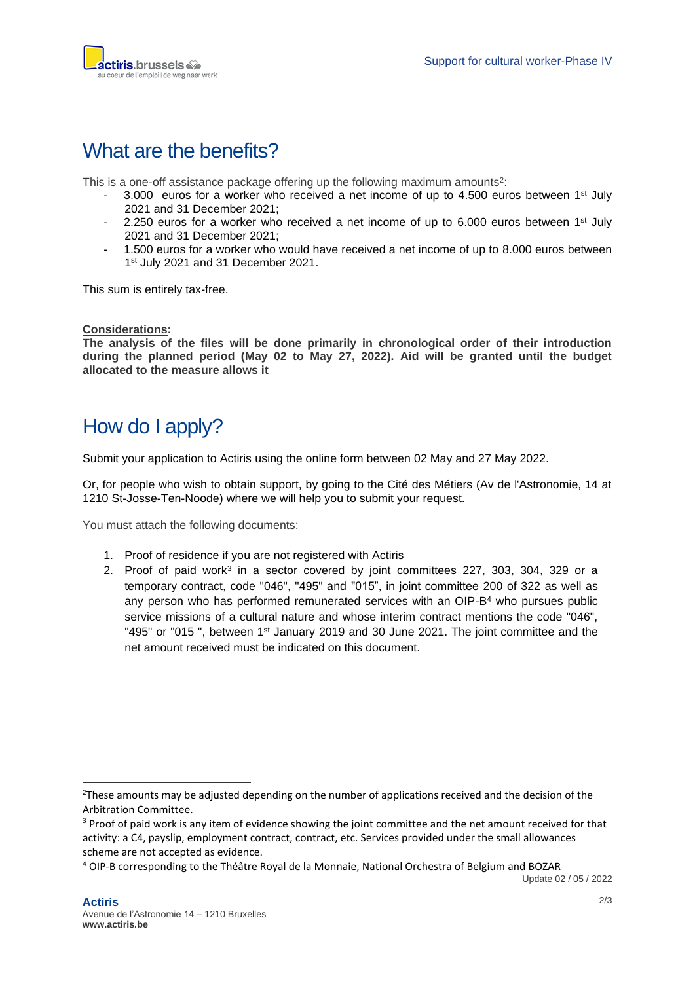

#### What are the benefits?

This is a one-off assistance package offering up the following maximum amounts<sup>2</sup>:

- $-$  3.000 euros for a worker who received a net income of up to 4.500 euros between 1st July 2021 and 31 December 2021;
- 2.250 euros for a worker who received a net income of up to 6.000 euros between  $1<sup>st</sup>$  July 2021 and 31 December 2021;
- 1.500 euros for a worker who would have received a net income of up to 8.000 euros between 1st July 2021 and 31 December 2021.

This sum is entirely tax-free.

#### **Considerations:**

**The analysis of the files will be done primarily in chronological order of their introduction during the planned period (May 02 to May 27, 2022). Aid will be granted until the budget allocated to the measure allows it**

### How do I apply?

Submit your application to Actiris using the online form between 02 May and 27 May 2022.

Or, for people who wish to obtain support, by going to the Cité des Métiers (Av de l'Astronomie, 14 at 1210 St-Josse-Ten-Noode) where we will help you to submit your request.

You must attach the following documents:

- 1. Proof of residence if you are not registered with Actiris
- 2. Proof of paid work<sup>3</sup> in a sector covered by joint committees 227, 303, 304, 329 or a temporary contract, code "046", "495" and "015", in joint committee 200 of 322 as well as any person who has performed remunerated services with an OIP-B<sup>4</sup> who pursues public service missions of a cultural nature and whose interim contract mentions the code "046", "495" or "015", between 1<sup>st</sup> January 2019 and 30 June 2021. The joint committee and the net amount received must be indicated on this document.

Update 02 / 05 / 2022

<sup>&</sup>lt;sup>2</sup>These amounts may be adjusted depending on the number of applications received and the decision of the Arbitration Committee.

<sup>&</sup>lt;sup>3</sup> Proof of paid work is any item of evidence showing the joint committee and the net amount received for that activity: a C4, payslip, employment contract, contract, etc. Services provided under the small allowances scheme are not accepted as evidence.

<sup>4</sup> OIP-B corresponding to the Théâtre Royal de la Monnaie, National Orchestra of Belgium and BOZAR